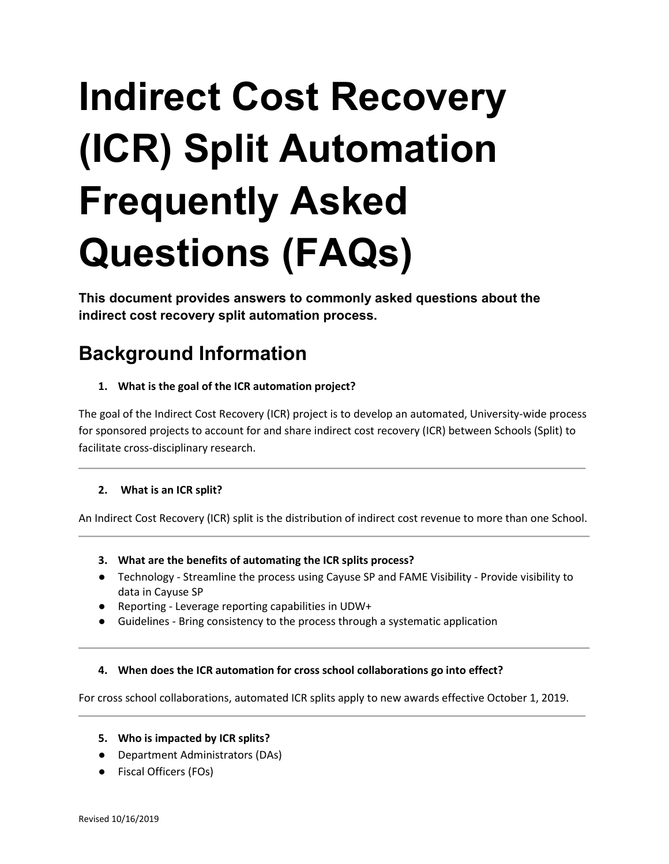# **Indirect Cost Recovery (ICR) Split Automation Frequently Asked Questions (FAQs)**

**This document provides answers to commonly asked questions about the indirect cost recovery split automation process.**

# **Background Information**

**1. What is the goal of the ICR automation project?**

The goal of the Indirect Cost Recovery (ICR) project is to develop an automated, University-wide process for sponsored projects to account for and share indirect cost recovery (ICR) between Schools (Split) to facilitate cross-disciplinary research.

# **2. What is an ICR split?**

An Indirect Cost Recovery (ICR) split is the distribution of indirect cost revenue to more than one School.

- **3. What are the benefits of automating the ICR splits process?**
- Technology Streamline the process using Cayuse SP and FAME Visibility Provide visibility to data in Cayuse SP
- Reporting Leverage reporting capabilities in UDW+
- Guidelines Bring consistency to the process through a systematic application

# **4. When does the ICR automation for cross school collaborations go into effect?**

For cross school collaborations, automated ICR splits apply to new awards effective October 1, 2019.

- **5. Who is impacted by ICR splits?**
- Department Administrators (DAs)
- Fiscal Officers (FOs)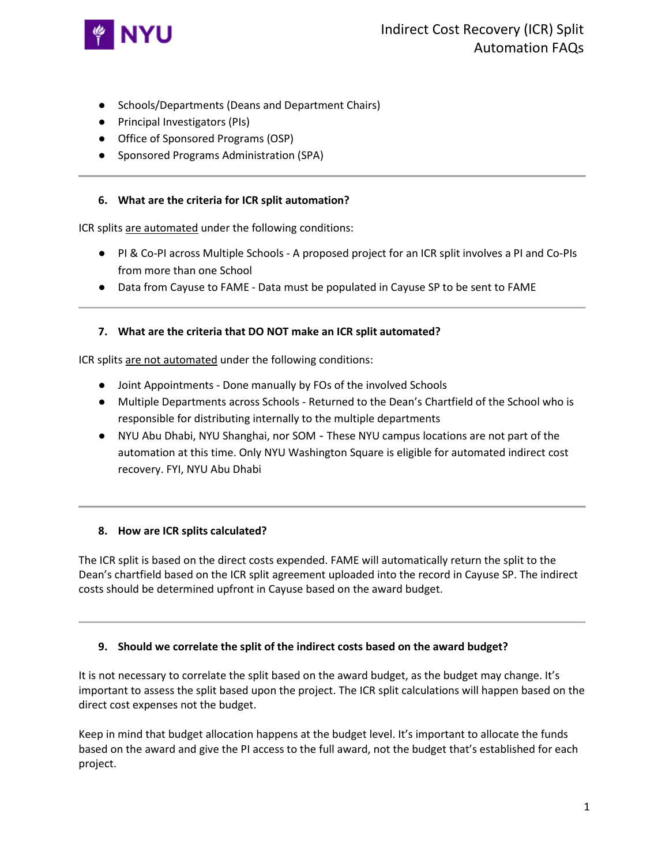

- Schools/Departments (Deans and Department Chairs)
- Principal Investigators (PIs)
- Office of Sponsored Programs (OSP)
- Sponsored Programs Administration (SPA)

# **6. What are the criteria for ICR split automation?**

ICR splits are automated under the following conditions:

- PI & Co-PI across Multiple Schools A proposed project for an ICR split involves a PI and Co-PIs from more than one School
- Data from Cayuse to FAME Data must be populated in Cayuse SP to be sent to FAME

# **7. What are the criteria that DO NOT make an ICR split automated?**

ICR splits are not automated under the following conditions:

- Joint Appointments Done manually by FOs of the involved Schools
- Multiple Departments across Schools Returned to the Dean's Chartfield of the School who is responsible for distributing internally to the multiple departments
- NYU Abu Dhabi, NYU Shanghai, nor SOM These NYU campus locations are not part of the automation at this time. Only NYU Washington Square is eligible for automated indirect cost recovery. FYI, NYU Abu Dhabi

# **8. How are ICR splits calculated?**

The ICR split is based on the direct costs expended. FAME will automatically return the split to the Dean's chartfield based on the ICR split agreement uploaded into the record in Cayuse SP. The indirect costs should be determined upfront in Cayuse based on the award budget.

# **9. Should we correlate the split of the indirect costs based on the award budget?**

It is not necessary to correlate the split based on the award budget, as the budget may change. It's important to assess the split based upon the project. The ICR split calculations will happen based on the direct cost expenses not the budget.

Keep in mind that budget allocation happens at the budget level. It's important to allocate the funds based on the award and give the PI access to the full award, not the budget that's established for each project.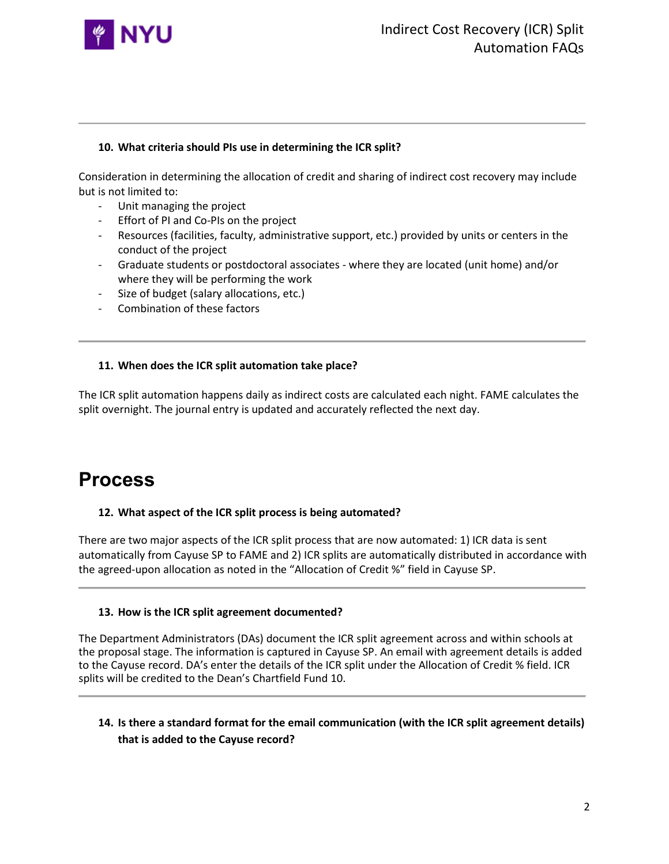

# **10. What criteria should PIs use in determining the ICR split?**

Consideration in determining the allocation of credit and sharing of indirect cost recovery may include but is not limited to:

- Unit managing the project
- Effort of PI and Co-PIs on the project
- Resources (facilities, faculty, administrative support, etc.) provided by units or centers in the conduct of the project
- Graduate students or postdoctoral associates where they are located (unit home) and/or where they will be performing the work
- Size of budget (salary allocations, etc.)
- Combination of these factors

# **11. When does the ICR split automation take place?**

The ICR split automation happens daily as indirect costs are calculated each night. FAME calculates the split overnight. The journal entry is updated and accurately reflected the next day.

# **Process**

# **12. What aspect of the ICR split process is being automated?**

There are two major aspects of the ICR split process that are now automated: 1) ICR data is sent automatically from Cayuse SP to FAME and 2) ICR splits are automatically distributed in accordance with the agreed-upon allocation as noted in the "Allocation of Credit %" field in Cayuse SP.

# **13. How is the ICR split agreement documented?**

The Department Administrators (DAs) document the ICR split agreement across and within schools at the proposal stage. The information is captured in Cayuse SP. An email with agreement details is added to the Cayuse record. DA's enter the details of the ICR split under the Allocation of Credit % field. ICR splits will be credited to the Dean's Chartfield Fund 10.

# **14. Is there a standard format for the email communication (with the ICR split agreement details) that is added to the Cayuse record?**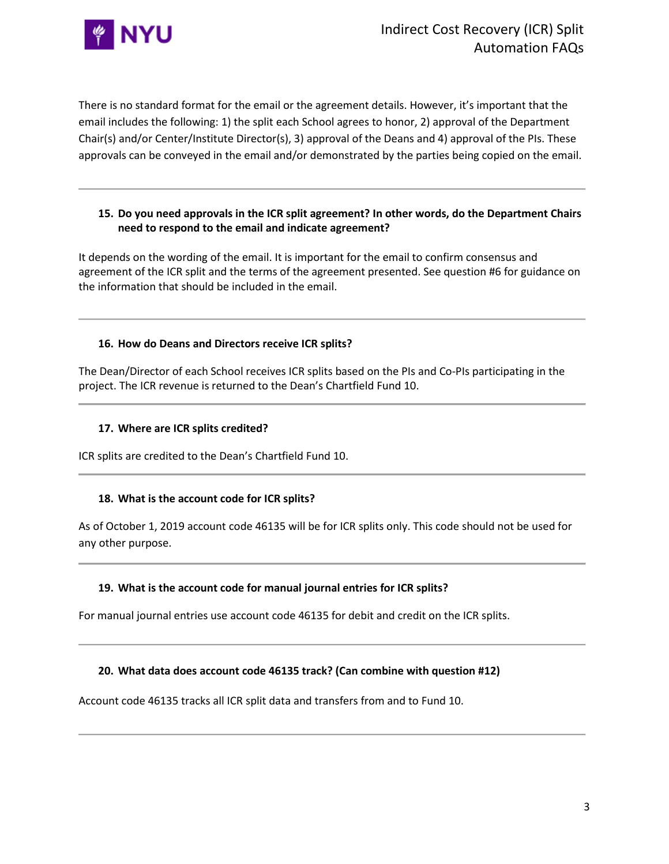

There is no standard format for the email or the agreement details. However, it's important that the email includes the following: 1) the split each School agrees to honor, 2) approval of the Department Chair(s) and/or Center/Institute Director(s), 3) approval of the Deans and 4) approval of the PIs. These approvals can be conveyed in the email and/or demonstrated by the parties being copied on the email.

# **15. Do you need approvals in the ICR split agreement? In other words, do the Department Chairs need to respond to the email and indicate agreement?**

It depends on the wording of the email. It is important for the email to confirm consensus and agreement of the ICR split and the terms of the agreement presented. See question #6 for guidance on the information that should be included in the email.

# **16. How do Deans and Directors receive ICR splits?**

The Dean/Director of each School receives ICR splits based on the PIs and Co-PIs participating in the project. The ICR revenue is returned to the Dean's Chartfield Fund 10.

# **17. Where are ICR splits credited?**

ICR splits are credited to the Dean's Chartfield Fund 10.

# **18. What is the account code for ICR splits?**

As of October 1, 2019 account code 46135 will be for ICR splits only. This code should not be used for any other purpose.

# **19. What is the account code for manual journal entries for ICR splits?**

For manual journal entries use account code 46135 for debit and credit on the ICR splits.

#### **20. What data does account code 46135 track? (Can combine with question #12)**

Account code 46135 tracks all ICR split data and transfers from and to Fund 10.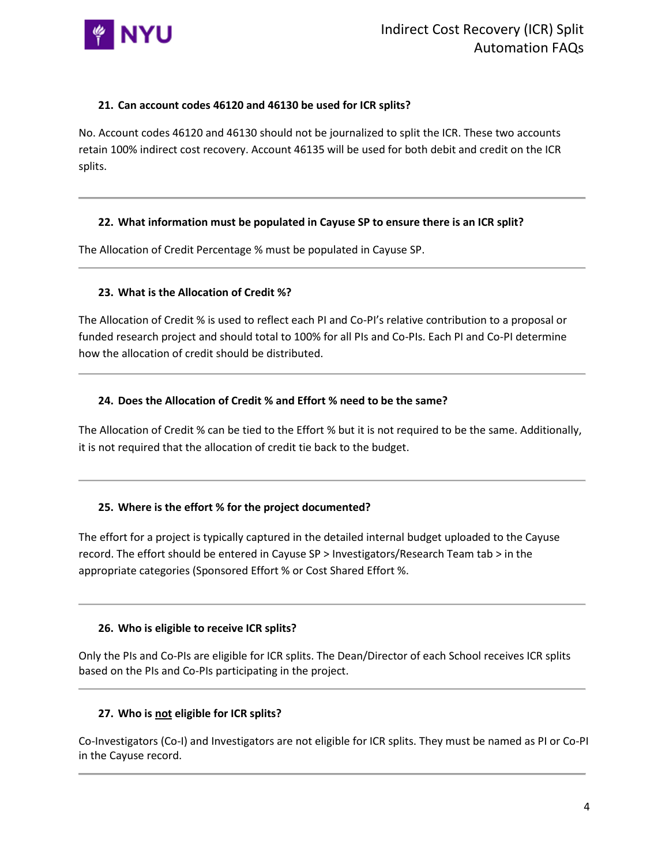

# **21. Can account codes 46120 and 46130 be used for ICR splits?**

No. Account codes 46120 and 46130 should not be journalized to split the ICR. These two accounts retain 100% indirect cost recovery. Account 46135 will be used for both debit and credit on the ICR splits.

# **22. What information must be populated in Cayuse SP to ensure there is an ICR split?**

The Allocation of Credit Percentage % must be populated in Cayuse SP.

# **23. What is the Allocation of Credit %?**

The Allocation of Credit % is used to reflect each PI and Co-PI's relative contribution to a proposal or funded research project and should total to 100% for all PIs and Co-PIs. Each PI and Co-PI determine how the allocation of credit should be distributed.

# **24. Does the Allocation of Credit % and Effort % need to be the same?**

The Allocation of Credit % can be tied to the Effort % but it is not required to be the same. Additionally, it is not required that the allocation of credit tie back to the budget.

# **25. Where is the effort % for the project documented?**

The effort for a project is typically captured in the detailed internal budget uploaded to the Cayuse record. The effort should be entered in Cayuse SP > Investigators/Research Team tab > in the appropriate categories (Sponsored Effort % or Cost Shared Effort %.

# **26. Who is eligible to receive ICR splits?**

Only the PIs and Co-PIs are eligible for ICR splits. The Dean/Director of each School receives ICR splits based on the PIs and Co-PIs participating in the project.

# **27. Who is not eligible for ICR splits?**

Co-Investigators (Co-I) and Investigators are not eligible for ICR splits. They must be named as PI or Co-PI in the Cayuse record.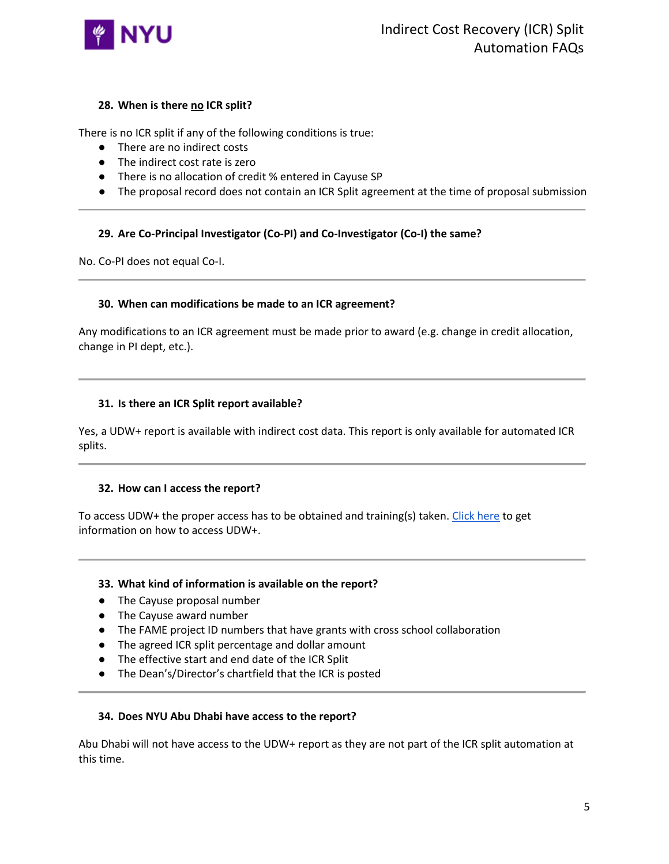

# **28. When is there no ICR split?**

There is no ICR split if any of the following conditions is true:

- There are no indirect costs
- The indirect cost rate is zero
- There is no allocation of credit % entered in Cayuse SP
- The proposal record does not contain an ICR Split agreement at the time of proposal submission

# **29. Are Co-Principal Investigator (Co-PI) and Co-Investigator (Co-I) the same?**

No. Co-PI does not equal Co-I.

# **30. When can modifications be made to an ICR agreement?**

Any modifications to an ICR agreement must be made prior to award (e.g. change in credit allocation, change in PI dept, etc.).

#### **31. Is there an ICR Split report available?**

Yes, a UDW+ report is available with indirect cost data. This report is only available for automated ICR splits.

# **32. How can I access the report?**

To access UDW+ the proper access has to be obtained and training(s) taken. [Click here](https://www.nyu.edu/employees/resources-and-services/administrative-services/university-data-warehouse-plus.html) to get information on how to access UDW+.

# **33. What kind of information is available on the report?**

- The Cayuse proposal number
- The Cayuse award number
- The FAME project ID numbers that have grants with cross school collaboration
- The agreed ICR split percentage and dollar amount
- The effective start and end date of the ICR Split
- The Dean's/Director's chartfield that the ICR is posted

# **34. Does NYU Abu Dhabi have access to the report?**

Abu Dhabi will not have access to the UDW+ report as they are not part of the ICR split automation at this time.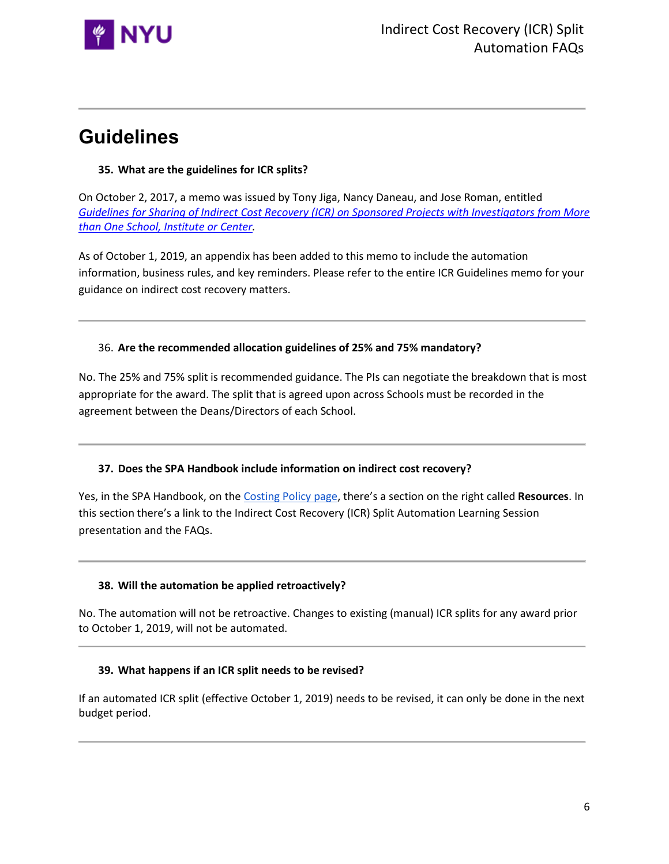

# **Guidelines**

# **35. What are the guidelines for ICR splits?**

On October 2, 2017, a memo was issued by Tony Jiga, Nancy Daneau, and Jose Roman, entitled *[Guidelines for Sharing of Indirect Cost Recovery \(ICR\) on Sponsored Projects with Investigators from More](https://drive.google.com/open?id=12KK06WCI_0yNZWj4DZ_kN5-Qo2xpq8Du)  [than One School, Institute or Center.](https://drive.google.com/open?id=12KK06WCI_0yNZWj4DZ_kN5-Qo2xpq8Du)*

As of October 1, 2019, an appendix has been added to this memo to include the automation information, business rules, and key reminders. Please refer to the entire ICR Guidelines memo for your guidance on indirect cost recovery matters.

# 36. **Are the recommended allocation guidelines of 25% and 75% mandatory?**

No. The 25% and 75% split is recommended guidance. The PIs can negotiate the breakdown that is most appropriate for the award. The split that is agreed upon across Schools must be recorded in the agreement between the Deans/Directors of each School.

# **37. Does the SPA Handbook include information on indirect cost recovery?**

Yes, in the SPA Handbook, on the [Costing Policy page,](https://www.nyu.edu/research/resources-and-support-offices/sponsored-programs-administration-handbook/costing-policy.html) there's a section on the right called **Resources**. In this section there's a link to the Indirect Cost Recovery (ICR) Split Automation Learning Session presentation and the FAQs.

# **38. Will the automation be applied retroactively?**

No. The automation will not be retroactive. Changes to existing (manual) ICR splits for any award prior to October 1, 2019, will not be automated.

# **39. What happens if an ICR split needs to be revised?**

If an automated ICR split (effective October 1, 2019) needs to be revised, it can only be done in the next budget period.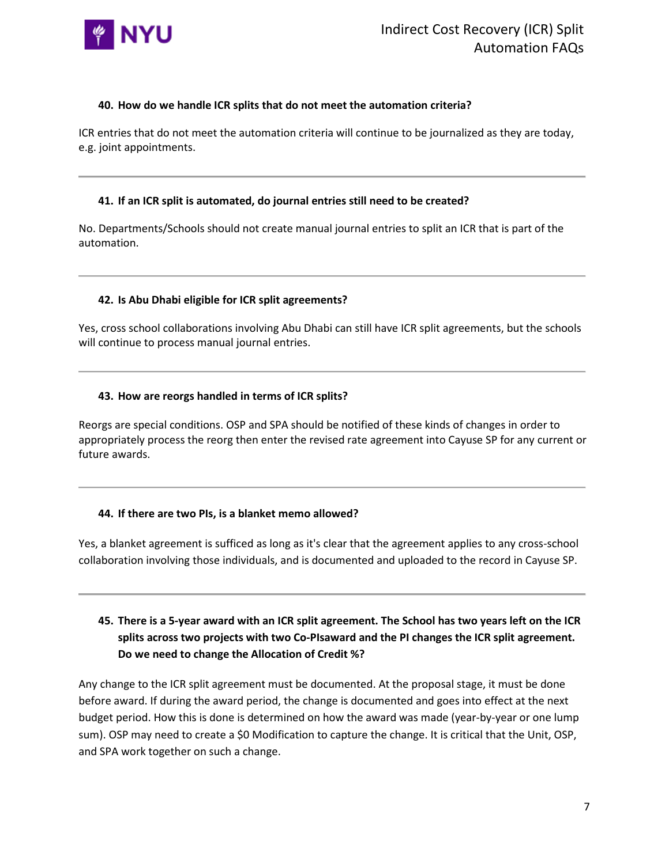

# **40. How do we handle ICR splits that do not meet the automation criteria?**

ICR entries that do not meet the automation criteria will continue to be journalized as they are today, e.g. joint appointments.

# **41. If an ICR split is automated, do journal entries still need to be created?**

No. Departments/Schools should not create manual journal entries to split an ICR that is part of the automation.

# **42. Is Abu Dhabi eligible for ICR split agreements?**

Yes, cross school collaborations involving Abu Dhabi can still have ICR split agreements, but the schools will continue to process manual journal entries.

# **43. How are reorgs handled in terms of ICR splits?**

Reorgs are special conditions. OSP and SPA should be notified of these kinds of changes in order to appropriately process the reorg then enter the revised rate agreement into Cayuse SP for any current or future awards.

# **44. If there are two PIs, is a blanket memo allowed?**

Yes, a blanket agreement is sufficed as long as it's clear that the agreement applies to any cross-school collaboration involving those individuals, and is documented and uploaded to the record in Cayuse SP.

# **45. There is a 5-year award with an ICR split agreement. The School has two years left on the ICR splits across two projects with two Co-PIsaward and the PI changes the ICR split agreement. Do we need to change the Allocation of Credit %?**

Any change to the ICR split agreement must be documented. At the proposal stage, it must be done before award. If during the award period, the change is documented and goes into effect at the next budget period. How this is done is determined on how the award was made (year-by-year or one lump sum). OSP may need to create a \$0 Modification to capture the change. It is critical that the Unit, OSP, and SPA work together on such a change.